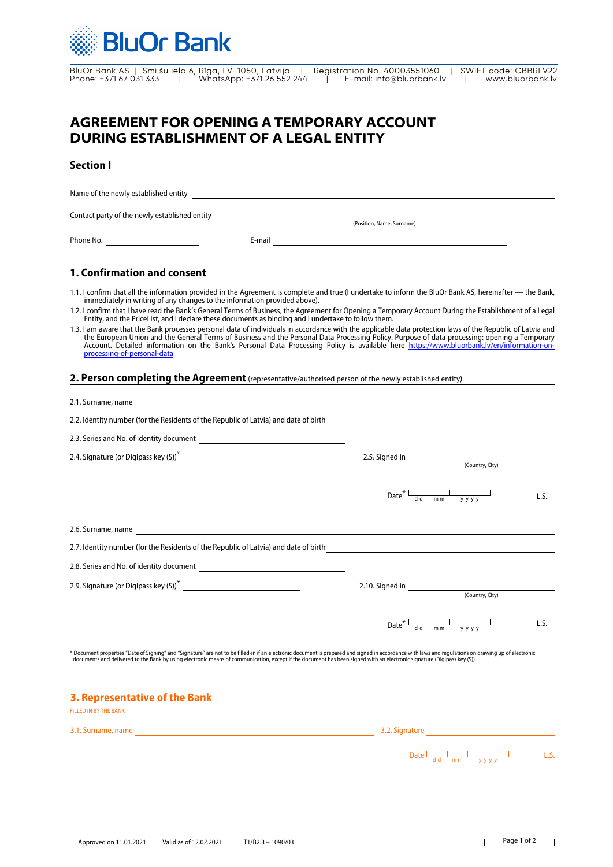

BluOr Bank AS | Smilšu iela 6, Rīga, LV-1050, Latvija | Registration No. 40003551060 | SWIFT code: CBBRLV22 Phone: +371 67 031 333 | WhatsApp: +371 26 552 244 | E-mail: info@bluorbank.lv | www.bluorbank.lv

# **AGREEMENT FOR OPENING A TEMPORARY ACCOUNT DURING ESTABLISHMENT OF A LEGAL ENTITY**

## **Section I**

Name of the newly established entity Phone No. Contact party of the newly established entity E-mail (Position, Name, Surname)

# **1. Confirmation and consent**

1.1. I confirm that all the information provided in the Agreement is complete and true (I undertake to inform the BluOr Bank AS, hereinafter - the Bank, immediately in writing of any changes to the information provided above).

1.2. I confirm that I have read the Bank's General Terms of Business, the Agreement for Opening a Temporary Account During the Establishment of a Legal Entity, and the PriceList, and I declare these documents as binding and I undertake to follow them.

| 1.3. I am aware that the Bank processes personal data of individuals in accordance with the applicable data protection laws of the Republic of Latvia and |
|-----------------------------------------------------------------------------------------------------------------------------------------------------------|
| the European Union and the General Terms of Business and the Personal Data Processing Policy. Purpose of data processing: opening a Temporary             |
| Account. Detailed information on the Bank's Personal Data Processing Policy is available here https://www.bluorbank.ly/en/information-on-                 |
| processing-of-personal-data                                                                                                                               |

### **2. Person completing the Agreement**(representative/authorised person of the newly established entity)

| 2.2. Identity number (for the Residents of the Republic of Latvia) and date of birth <b>contract and the set of the Residents</b> of the Republic of Latvia) and date of birth <b>contract and the set of the Republic of Latvia</b>                                                                                                                                            |                                                                                                                                                                                                                                                                                                                                                                                                                                                                     |  |  |
|---------------------------------------------------------------------------------------------------------------------------------------------------------------------------------------------------------------------------------------------------------------------------------------------------------------------------------------------------------------------------------|---------------------------------------------------------------------------------------------------------------------------------------------------------------------------------------------------------------------------------------------------------------------------------------------------------------------------------------------------------------------------------------------------------------------------------------------------------------------|--|--|
|                                                                                                                                                                                                                                                                                                                                                                                 |                                                                                                                                                                                                                                                                                                                                                                                                                                                                     |  |  |
|                                                                                                                                                                                                                                                                                                                                                                                 |                                                                                                                                                                                                                                                                                                                                                                                                                                                                     |  |  |
|                                                                                                                                                                                                                                                                                                                                                                                 | $\frac{1}{\text{mm}}$<br>Date <sup>*</sup> $\frac{1}{d d}$<br>L.S.<br>V V V V                                                                                                                                                                                                                                                                                                                                                                                       |  |  |
|                                                                                                                                                                                                                                                                                                                                                                                 |                                                                                                                                                                                                                                                                                                                                                                                                                                                                     |  |  |
| 2.7. Identity number (for the Residents of the Republic of Latvia) and date of birth<br>2.7. Identity number (for the Residents of the Republic of Latvia) and date of birth<br>2.7. Identity number (for the Residents of the Rep                                                                                                                                              |                                                                                                                                                                                                                                                                                                                                                                                                                                                                     |  |  |
|                                                                                                                                                                                                                                                                                                                                                                                 |                                                                                                                                                                                                                                                                                                                                                                                                                                                                     |  |  |
|                                                                                                                                                                                                                                                                                                                                                                                 |                                                                                                                                                                                                                                                                                                                                                                                                                                                                     |  |  |
|                                                                                                                                                                                                                                                                                                                                                                                 | $\frac{1}{y y y y}$<br>Date* $\frac{1}{d}$<br>L.S.                                                                                                                                                                                                                                                                                                                                                                                                                  |  |  |
| * Document properties "Date of Signing" and "Signature" are not to be filled-in if an electronic document is prepared and signed in accordance with laws and regulations on drawing up of electronic<br>documents and delivered to the Bank by using electronic means of communication, except if the document has been signed with an electronic signature (Digipass key (S)). |                                                                                                                                                                                                                                                                                                                                                                                                                                                                     |  |  |
| 3. Representative of the Bank                                                                                                                                                                                                                                                                                                                                                   | <u> 1989 - Johann John Stone, markin film yn y brenin y brenin y brenin y brenin y brenin y brenin y brenin y br</u>                                                                                                                                                                                                                                                                                                                                                |  |  |
| <b>FILLED IN BY THE BANK</b>                                                                                                                                                                                                                                                                                                                                                    |                                                                                                                                                                                                                                                                                                                                                                                                                                                                     |  |  |
|                                                                                                                                                                                                                                                                                                                                                                                 | 3.2. Signature <b>Exercía de Santa Caracteria de Santa Caracteria de Santa Caracteria de Santa Caracteria de Santa C</b>                                                                                                                                                                                                                                                                                                                                            |  |  |
|                                                                                                                                                                                                                                                                                                                                                                                 | Date $\frac{1}{\det \frac{1}{m} \cdot \frac{1}{\det \frac{1}{m}} \cdot \frac{1}{\det \frac{1}{\det \frac{1}{m}} \cdot \frac{1}{\det \frac{1}{\det \frac{1}{m}} \cdot \frac{1}{\det \frac{1}{\det \frac{1}{m}} \cdot \frac{1}{\det \frac{1}{\det \frac{1}{m}} \cdot \frac{1}{\det \frac{1}{\det \frac{1}{m}} \cdot \frac{1}{\det \frac{1}{\det \frac{1}{m}} \cdot \frac{1}{\det \frac{1}{\det \frac{1}{m}} \cdot \frac{1}{\det \frac{1}{\det \frac{1}{m}} \$<br>L.S. |  |  |